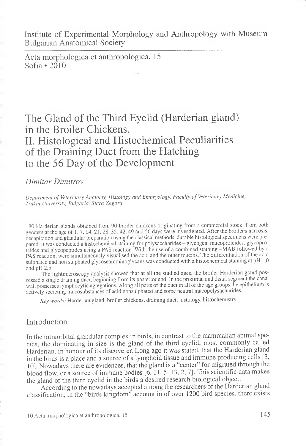Institute of Experimental Morphology and Anthropology with Museum Bulgarian Anatomical Society

Acta morphologica et anthropologica, 15 Sofia  $\cdot$  2010

# The Gland of the Third Eyelid (Harderian gland) in the Broiler Chickens. II. Histological and Histochemical Peculiarities of the Draining Duct from the Hatching to the 56 Day of the Development

#### *Dimitar Dimitrov*

*Department of Veterinary Anatomy, Histology and Embryology, Faculty of Veterinary Medicine, Trakia University, Bulgaria, Stara Zagora*

180 Harderian glands obtained from 90 broiler chickens originating from a commercial stock, from both genders at the age of 1, 7, 14, 21, 28, 35, 42, 49 and 56 days were investigated. After the broilers narcosis, decapitation and glandular preparation using the classical methods, durable histological specimens were prepared. It was conducted a histochemical staining for polysaccharides - glycogen, mucoproteides, glycoproteides and glycopeptides using a PAS reaction. With the use of a combined staining -MAB followed by a PAS reaction, were simultaneously visualised the acid and the other mucins. The differentiation of the acid sulphated and non sulphated glycoseamminoglycans was conducted with a histochemical staining at pH 1,0 and pH 2,5.

The lightmicroscopy analysis showed that at all the studied ages, the broiler Harderian gland possessed a single draining duct, beginning from its posterior end. In the proximal and distal segment the canal wall possesses lymphocytic agregations. Along all parts of the duct in all of the age groups the epithelium is actively secreting mucosubstances of acid nonsulphated and some neutral mucopolysacharides.

*Key words:* Harderian gland, broiler chickens, draining duct, histology, histochemistry.

## Introduction

In the intraorbital glandular complex in birds, in contrast to the mammalian animal species, the dominating in size is the gland of the third eyelid, most commonly called Harderian, in honour of its discoverer. Long ago it was stated, that the Harderian gland in the birds is a place and a source of a lymphoid tissue and immune producing cells [3, 10]. Nowadays there are evidences, that the gland is a "center" for migrated through the blood flow, or a source of immune bodies [6, 11, 5, 13, 2, 7]. This scientific data makes the gland of the third eyelid in the birds a desired research biological object.

According to the nowadays accepted among the researchers of the Harderian gland classification, in the "birds kingdom" account in of over 1200 bird species, there exists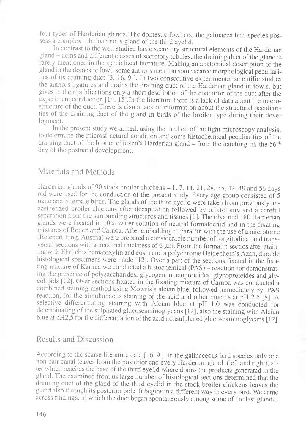four types of Harderian glands. The domestic fowl and the galinacea bird species possess a complex tubuloacinous gland of the third eyelid.

In contrast to the well studied basic secretory structural elements of the Harderian gland - acins and different classes of secretory tubules, the draining duct of the gland is rarely mentioned in the specialized literature. Making an anatomical description of the gland in the domestic fowl, some authors mention some scarce morphological peculiarities of its draining duct [3, 16, 9 J. In two consecutive experimental scientific studies the authors ligatures and drains the draining duct of the Harderian gland in fowls, but gives in their publications only a short description of the condition of the duct after the experiment conduction  $[14, 15]$ . In the literature there is a lack of data about the microstructure of the duct. There is also a lack of information about the structural peculiarities of the draining duct of the gland in birds of the broiler type during their development.

In the present study we aimed, using the method of the light microscopy analysis, to determine the microstructural condition and some histochemical peculiarities of the draining duct of the broiler chicken's Harderian gland  $-$  from the hatching till the 56<sup>-th</sup> day of the postnatal development.

#### Materials and Methods

Harderian glands of 90 stock broiler chickens  $-1$ , 7, 14, 21, 28, 35, 42, 49 and 56 days old were used for the conduction of the present study. Every age group consisted of 5 male and 5 female birds. The glands of the third eyelid were taken from previously anaesthetized broiler chickens after decapitation followed by orbitotomy and a careful separation from the surrounding structures and tissues [1]. The obtained 180 Harderian glands were fixated in 10% water solution of neutral formaldehid and in the fixating mixtures of Bouen and Carnoa. After embedding in paraffin with the use of a microtome (Reichert Jung. Austria) were prepared a considerable number of longitodinal and transversal sections with a maximal thickness of 6 um. From the formalin sectios after staining with Ehrlich- s hematoxylin and eosin and a polychrome Heidenhein's Azan, durable histological specimens were made [12]. Over a part of the sections fixated in the fixating mixture of Karnua we conducted a histochemical (PAS) — reaction for demonstrating the presence of polysaccharides, glycogen, mucoproteides, glycoproteides and glycolipids [12]. Over sections fixated in the fixating mixture of Camoa was conducted a combined staining method using Mowris's alcian blue, followed immediately by PAS reaction, for the simultaneous staining of the acid and other mucins at pH 2.5 [8]. A selective differentiating staining with Alcian blue at pH 1.0 was conducted for determinating of the sulphated glucoseaminoglycans [12], also the staining with Alcian blue at pH2,5 for the differentiation of the acid nonsulphated glucoseaminoglycans [12].

### Results and Discussion

According to the scarse literature data [16, 9 ], in the galinaceous bird species only one non pair canal leaves from the posterior end every Harderian gland (left and right), after which reaches the base of the third eyelid where drains the products generated in the gland. The examined from us large number of histological sections determined that the draining duct of the gland of the third eyelid in the stock broiler chickens leaves the gland also through its posterior pole. It begins in a different way in every bird. We came across findings, in which the duct began spontaneously among some of the last glandu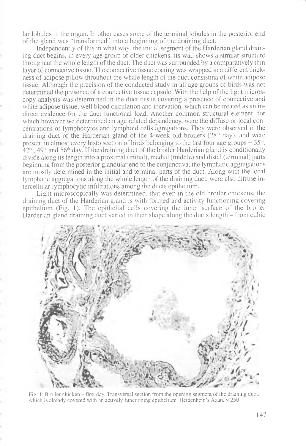lar lobules in the organ. In other cases some of the terminal lobules in the posterior end of the gland was "transformed" into a beginning of the draining duct.

Independently of this in what way the initial segment of the Harderian gland draining duct begins, in every age group of older chickens, its wall shows a similar structure throughaut the whole length of the duct. The duct was surrounded by a comparatively thin layer of connective tissue. The connective tissue coating was wrapped in a different thickness of adipose pillow throuhout the whale length ol the duct consistina of white adipose tissue. Although the precision of the conducted study in all age groups of birds was not determined the presence of a connective tissue capsule. With the help of the light microscopy analysis was determined in the duct tissue covering a presence of connective and white adipose tissue, well blood circulation and inervation, which can be treated as an indirect evidence for the duct functional load. Another common structural element, for which however we determined an age related dependency, were the diffuse or local concentrations of lymphocytes and lymphoid cells agregations. They were observed in the draining duct of the Harderian gland of the 4-week old broilers  $(28<sup>th</sup> \, \text{day})$ , and were present in almost every histo section of birds belonging to the last four age groups  $-35<sup>th</sup>$ ,  $42<sup>nd</sup>$ ,  $49<sup>th</sup>$  and  $56<sup>th</sup>$  day. If the draining duct of the broiler Harderian gland is conditionally divide along its length into a proximal (initial), medial (middle) and distal (terminal) parts beginning from the posterior glandular end to the conjunctiva, the lymphatic aggregations are mostly determined in the initial and terminal parts of the duct. Along with the local lymphatic aggregations along the whole length of the draining duct, were also diffuse intercellular lymphocytic infiltrations among the ducts epithelium.

Light microscopically was determined, that even in the old broiler chickens, the draining duct of the Harderian gland is with formed and activity functioning covering epithelium (Fig. 1). The epithelial cells covering the inner surface of the broiler Harderian gland draining duct varied in their shape along the ducts length - from cubic



Fig. 1. Broiler chicken – first day. Transversal section from the opening segment of the draining duct, which is already covered with an actively functioning epithelium. Heidenhein's Azan,  $\times$  250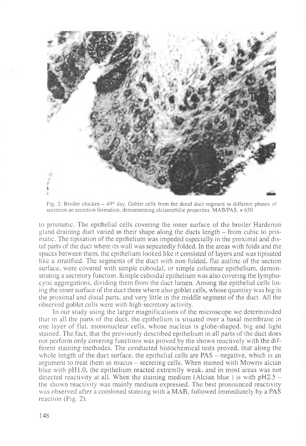

Fig. 2. Broiler chicken  $-49<sup>th</sup>$  day. Goblet cells from the distal duct segment in different phases of secretion an secretion formation, demonstrating alcianophilie properties. MAB/PAS,  $\times$  650

to prismatic. The epithelial cells covering the inner surface of the broiler Harderian gland draining duct varied in their shape along the ducts length - from cubic to prismatic. The tipisation of the epithelium was impeded especially in the proximal and distal parts of the duct where its wall was sepeatedly folded. In the areas with folds and the spaces between them, the epithelium looked like it consisted of layers and was tipisated like a stratified. The segments of the duct with non folded, flat autline of the section surface, were covered with simple cuboidal, or simple columnar epithelium, demonstrating a secretory function. Simple cuboidal epithelium was also covering the lymphocytic aggregations, dividing them from the duct lumen. Among the epithelial cells lining the inner surface of the duct there where also goblet cells, whose quantisy was big in the proximal and distal parts, and very little in the middle segment of the duct. All the observed goblet cells were with high secretory activity.

In our study using the larger magnifications of the microscope we determinided that in all the parts of the duct, the epithelium is situated over a basal membrane in one layer of flat, mononuclear cells, whose nucleus is globe-shaped, big and light stained. The fact, that the previously described epithelium in all parts of the duct does not perform only covering functions was proved by the shown reactively with the different staining methodes. The conducted histochemical tests proved, that along the whole length of the duct surface, the epithelial cells are  $PAS - negative$ , which is an argument to treat them as mucus – secreting cells. When stained with Mowris alcian blue with pHl.O, the epithelium reacted extremlly weak, and in most areas was not detected reactivity at all. When the staining medium (Alcian blue) is with  $pH2.5$ the shown reactivity was mainly medium expressed. The best pronounced reactivity was observed after a combined staining with a MAB, followed immediately by a PAS reaction (Fig. 2).